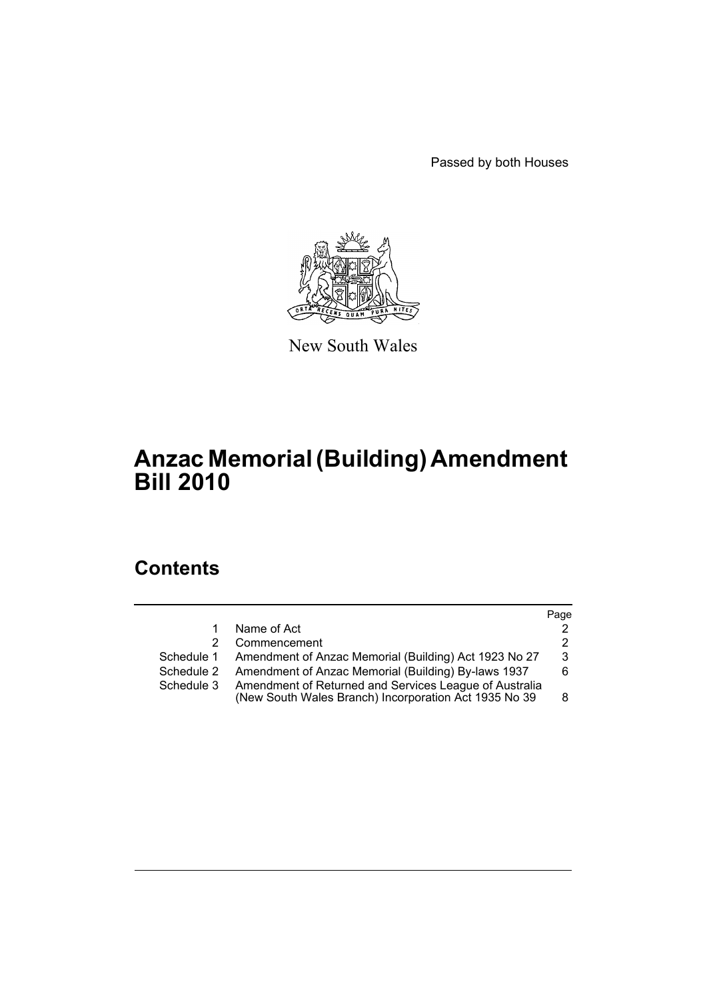Passed by both Houses



New South Wales

# **Anzac Memorial (Building) Amendment Bill 2010**

# **Contents**

|            |                                                                                                                 | Page |
|------------|-----------------------------------------------------------------------------------------------------------------|------|
| 1          | Name of Act                                                                                                     | 2    |
| 2          | Commencement                                                                                                    | 2    |
|            | Schedule 1 Amendment of Anzac Memorial (Building) Act 1923 No 27                                                | 3    |
| Schedule 2 | Amendment of Anzac Memorial (Building) By-laws 1937                                                             | 6.   |
| Schedule 3 | Amendment of Returned and Services League of Australia<br>(New South Wales Branch) Incorporation Act 1935 No 39 | 8    |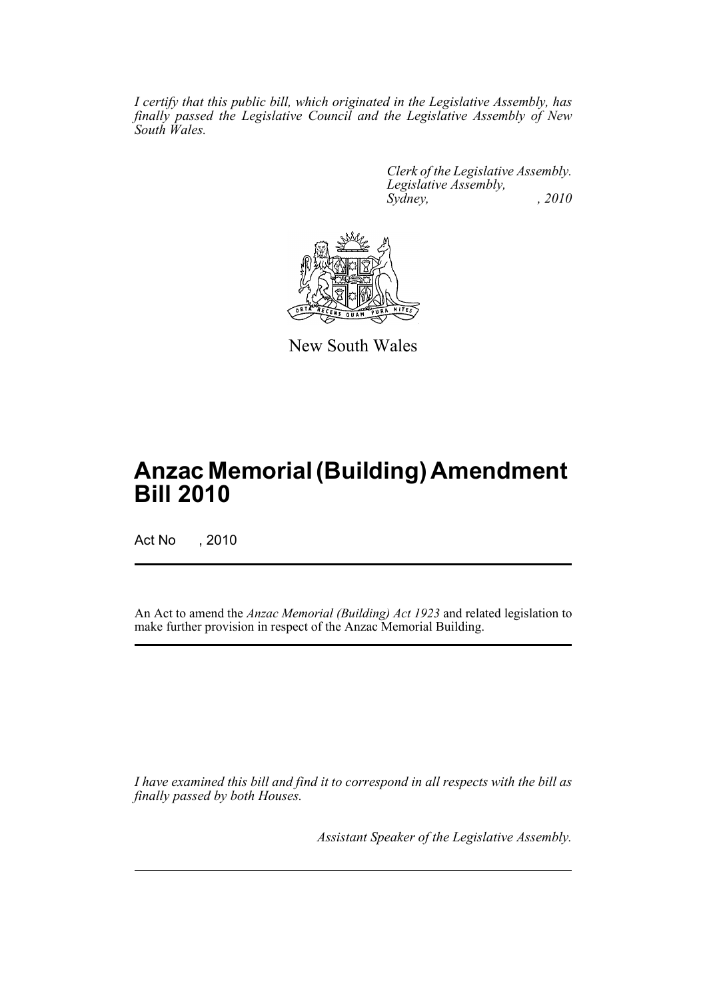*I certify that this public bill, which originated in the Legislative Assembly, has finally passed the Legislative Council and the Legislative Assembly of New South Wales.*

> *Clerk of the Legislative Assembly. Legislative Assembly, Sydney, , 2010*



New South Wales

# **Anzac Memorial (Building) Amendment Bill 2010**

Act No , 2010

An Act to amend the *Anzac Memorial (Building) Act 1923* and related legislation to make further provision in respect of the Anzac Memorial Building.

*I have examined this bill and find it to correspond in all respects with the bill as finally passed by both Houses.*

*Assistant Speaker of the Legislative Assembly.*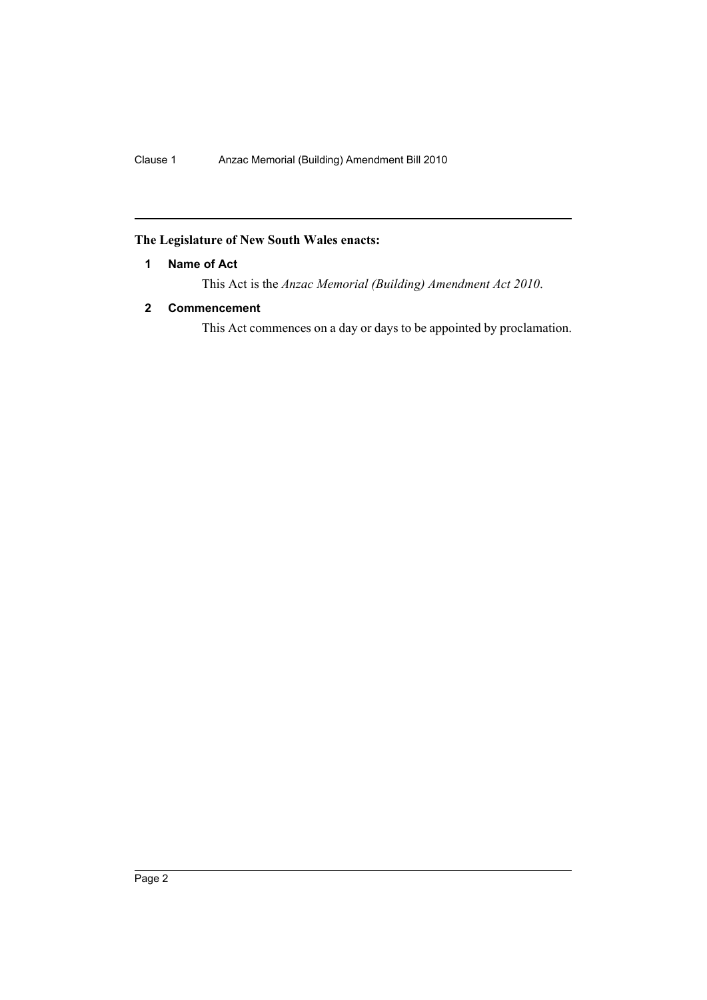## <span id="page-2-0"></span>**The Legislature of New South Wales enacts:**

## **1 Name of Act**

This Act is the *Anzac Memorial (Building) Amendment Act 2010*.

## <span id="page-2-1"></span>**2 Commencement**

This Act commences on a day or days to be appointed by proclamation.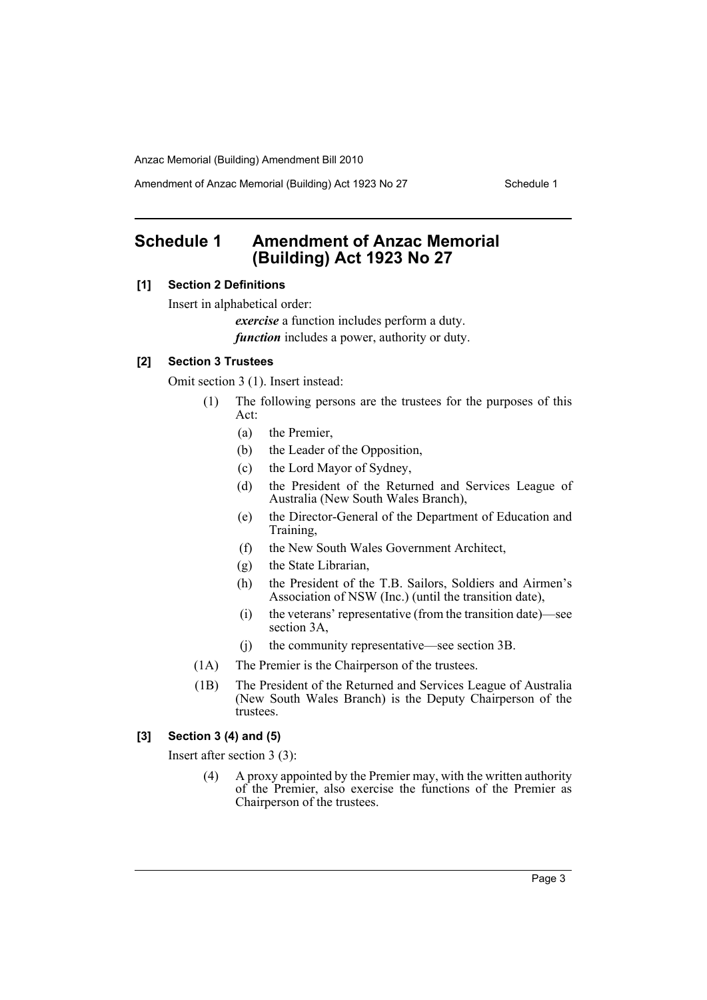Amendment of Anzac Memorial (Building) Act 1923 No 27 Schedule 1

# <span id="page-3-0"></span>**Schedule 1 Amendment of Anzac Memorial (Building) Act 1923 No 27**

## **[1] Section 2 Definitions**

Insert in alphabetical order:

*exercise* a function includes perform a duty. *function* includes a power, authority or duty.

#### **[2] Section 3 Trustees**

Omit section 3 (1). Insert instead:

- (1) The following persons are the trustees for the purposes of this Act:
	- (a) the Premier,
	- (b) the Leader of the Opposition,
	- (c) the Lord Mayor of Sydney,
	- (d) the President of the Returned and Services League of Australia (New South Wales Branch),
	- (e) the Director-General of the Department of Education and Training,
	- (f) the New South Wales Government Architect,
	- (g) the State Librarian,
	- (h) the President of the T.B. Sailors, Soldiers and Airmen's Association of NSW (Inc.) (until the transition date),
	- (i) the veterans' representative (from the transition date)—see section 3A,
	- (j) the community representative—see section 3B.
- (1A) The Premier is the Chairperson of the trustees.
- (1B) The President of the Returned and Services League of Australia (New South Wales Branch) is the Deputy Chairperson of the trustees.

#### **[3] Section 3 (4) and (5)**

Insert after section 3 (3):

(4) A proxy appointed by the Premier may, with the written authority of the Premier, also exercise the functions of the Premier as Chairperson of the trustees.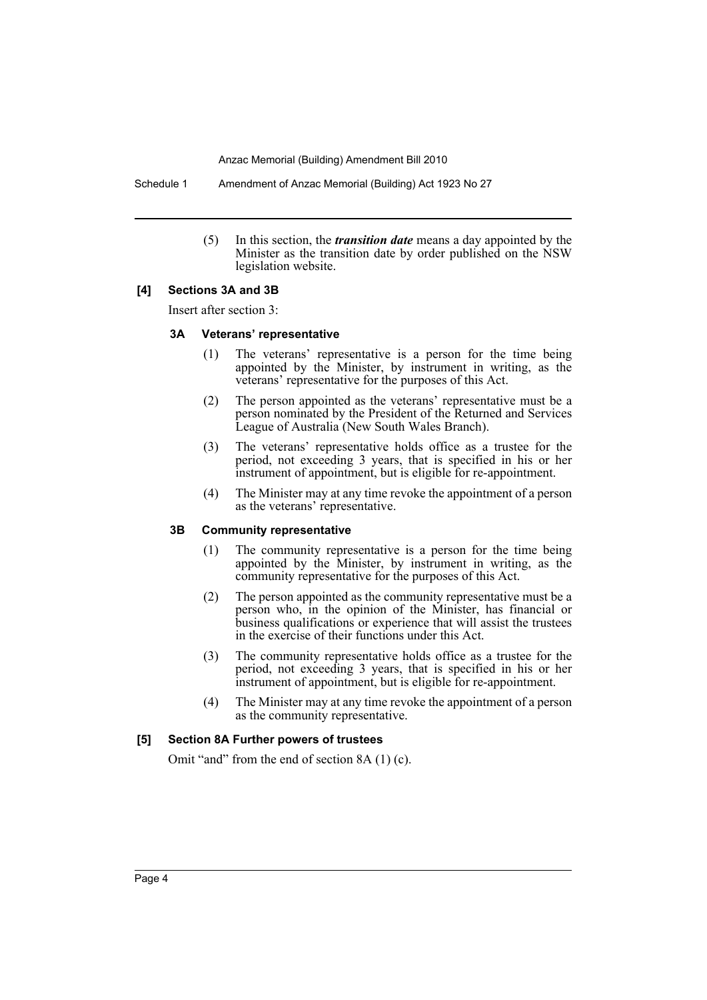Schedule 1 Amendment of Anzac Memorial (Building) Act 1923 No 27

(5) In this section, the *transition date* means a day appointed by the Minister as the transition date by order published on the NSW legislation website.

#### **[4] Sections 3A and 3B**

Insert after section 3:

#### **3A Veterans' representative**

- (1) The veterans' representative is a person for the time being appointed by the Minister, by instrument in writing, as the veterans' representative for the purposes of this Act.
- (2) The person appointed as the veterans' representative must be a person nominated by the President of the Returned and Services League of Australia (New South Wales Branch).
- (3) The veterans' representative holds office as a trustee for the period, not exceeding 3 years, that is specified in his or her instrument of appointment, but is eligible for re-appointment.
- (4) The Minister may at any time revoke the appointment of a person as the veterans' representative.

#### **3B Community representative**

- (1) The community representative is a person for the time being appointed by the Minister, by instrument in writing, as the community representative for the purposes of this Act.
- (2) The person appointed as the community representative must be a person who, in the opinion of the Minister, has financial or business qualifications or experience that will assist the trustees in the exercise of their functions under this Act.
- (3) The community representative holds office as a trustee for the period, not exceeding 3 years, that is specified in his or her instrument of appointment, but is eligible for re-appointment.
- (4) The Minister may at any time revoke the appointment of a person as the community representative.

#### **[5] Section 8A Further powers of trustees**

Omit "and" from the end of section 8A (1) (c).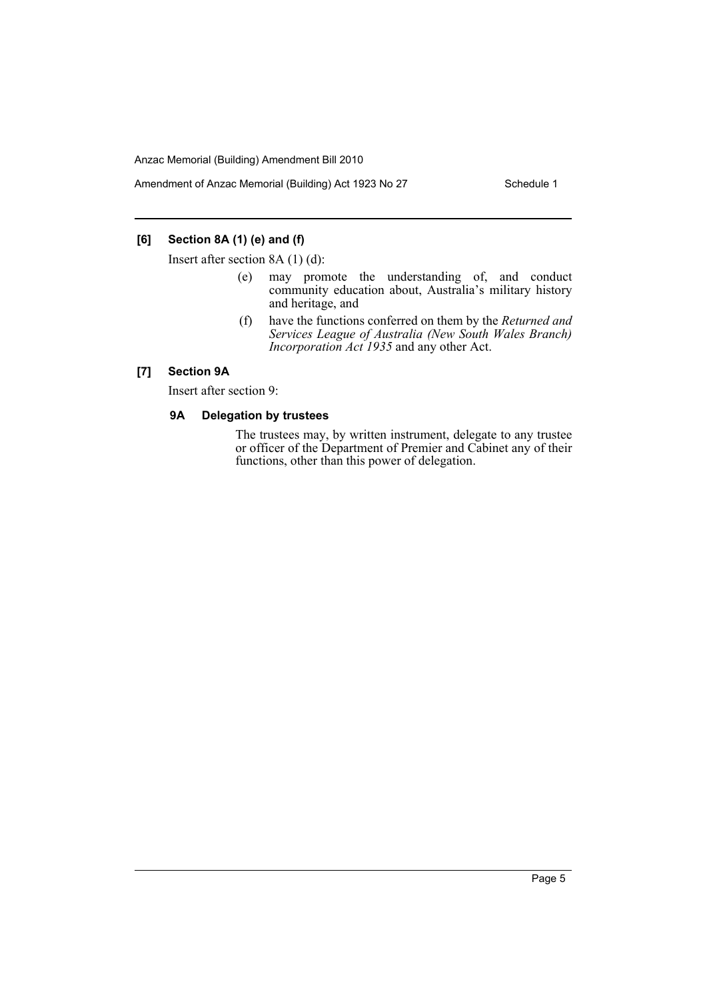Amendment of Anzac Memorial (Building) Act 1923 No 27 Schedule 1

## **[6] Section 8A (1) (e) and (f)**

Insert after section 8A (1) (d):

- (e) may promote the understanding of, and conduct community education about, Australia's military history and heritage, and
- (f) have the functions conferred on them by the *Returned and Services League of Australia (New South Wales Branch) Incorporation Act 1935* and any other Act.

### **[7] Section 9A**

Insert after section 9:

#### **9A Delegation by trustees**

The trustees may, by written instrument, delegate to any trustee or officer of the Department of Premier and Cabinet any of their functions, other than this power of delegation.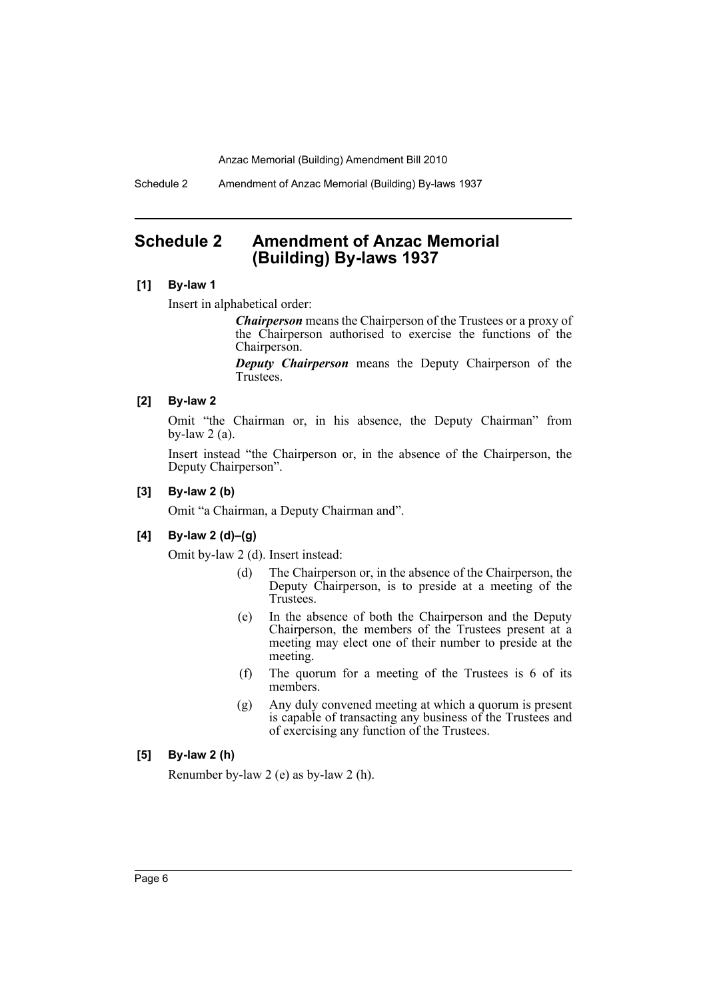Schedule 2 Amendment of Anzac Memorial (Building) By-laws 1937

## <span id="page-6-0"></span>**Schedule 2 Amendment of Anzac Memorial (Building) By-laws 1937**

#### **[1] By-law 1**

Insert in alphabetical order:

*Chairperson* means the Chairperson of the Trustees or a proxy of the Chairperson authorised to exercise the functions of the Chairperson.

*Deputy Chairperson* means the Deputy Chairperson of the Trustees.

### **[2] By-law 2**

Omit "the Chairman or, in his absence, the Deputy Chairman" from by-law  $2$  (a).

Insert instead "the Chairperson or, in the absence of the Chairperson, the Deputy Chairperson".

#### **[3] By-law 2 (b)**

Omit "a Chairman, a Deputy Chairman and".

#### **[4] By-law 2 (d)–(g)**

Omit by-law 2 (d). Insert instead:

- (d) The Chairperson or, in the absence of the Chairperson, the Deputy Chairperson, is to preside at a meeting of the Trustees.
- (e) In the absence of both the Chairperson and the Deputy Chairperson, the members of the Trustees present at a meeting may elect one of their number to preside at the meeting.
- (f) The quorum for a meeting of the Trustees is 6 of its members.
- (g) Any duly convened meeting at which a quorum is present is capable of transacting any business of the Trustees and of exercising any function of the Trustees.

## **[5] By-law 2 (h)**

Renumber by-law 2 (e) as by-law 2 (h).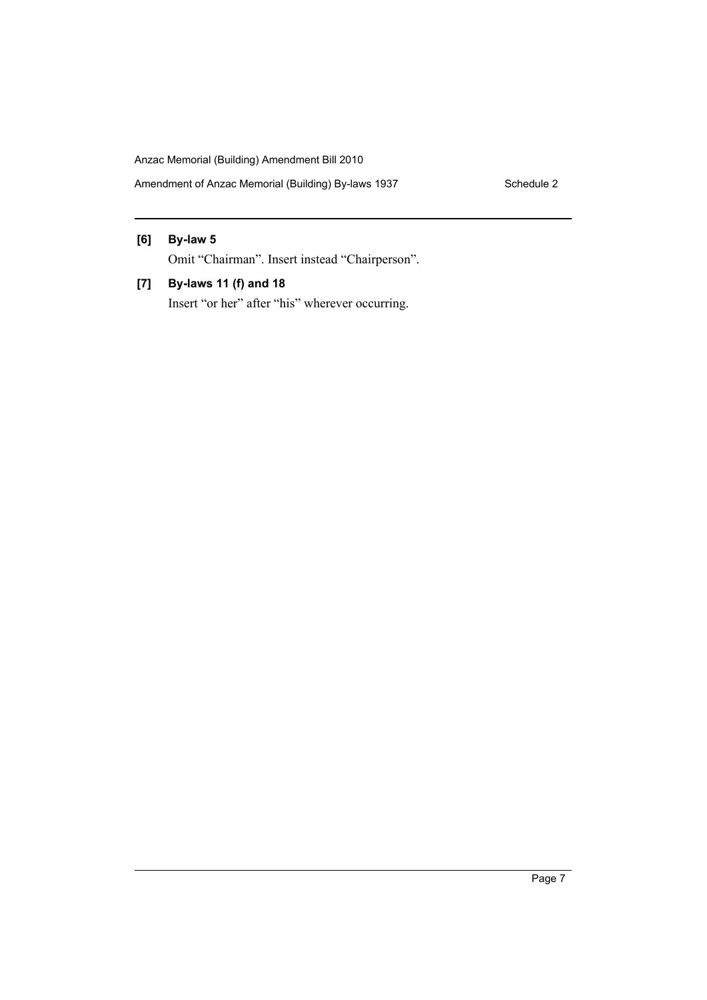Amendment of Anzac Memorial (Building) By-laws 1937 Schedule 2

#### **[6] By-law 5**

Omit "Chairman". Insert instead "Chairperson".

**[7] By-laws 11 (f) and 18**

Insert "or her" after "his" wherever occurring.